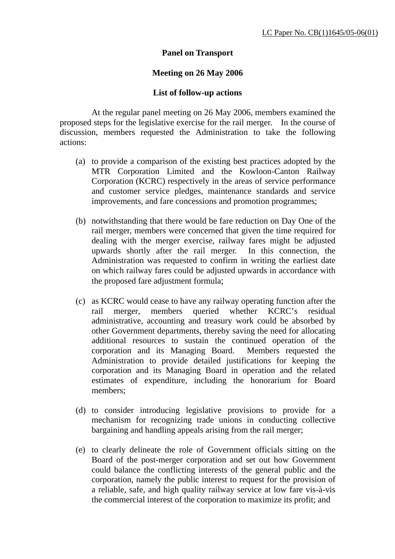## **Panel on Transport**

## **Meeting on 26 May 2006**

## **List of follow-up actions**

 At the regular panel meeting on 26 May 2006, members examined the proposed steps for the legislative exercise for the rail merger. In the course of discussion, members requested the Administration to take the following actions:

- (a) to provide a comparison of the existing best practices adopted by the MTR Corporation Limited and the Kowloon-Canton Railway Corporation (KCRC) respectively in the areas of service performance and customer service pledges, maintenance standards and service improvements, and fare concessions and promotion programmes;
- (b) notwithstanding that there would be fare reduction on Day One of the rail merger, members were concerned that given the time required for dealing with the merger exercise, railway fares might be adjusted upwards shortly after the rail merger. In this connection, the Administration was requested to confirm in writing the earliest date on which railway fares could be adjusted upwards in accordance with the proposed fare adjustment formula;
- (c) as KCRC would cease to have any railway operating function after the rail merger, members queried whether KCRC's residual administrative, accounting and treasury work could be absorbed by other Government departments, thereby saving the need for allocating additional resources to sustain the continued operation of the corporation and its Managing Board. Members requested the Administration to provide detailed justifications for keeping the corporation and its Managing Board in operation and the related estimates of expenditure, including the honorarium for Board members;
- (d) to consider introducing legislative provisions to provide for a mechanism for recognizing trade unions in conducting collective bargaining and handling appeals arising from the rail merger;
- (e) to clearly delineate the role of Government officials sitting on the Board of the post-merger corporation and set out how Government could balance the conflicting interests of the general public and the corporation, namely the public interest to request for the provision of a reliable, safe, and high quality railway service at low fare vis-à-vis the commercial interest of the corporation to maximize its profit; and